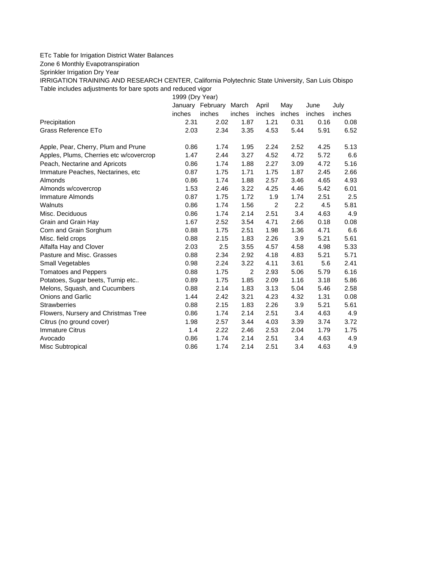## ETc Table for Irrigation District Water Balances

Zone 6 Monthly Evapotranspiration

Sprinkler Irrigation Dry Year

IRRIGATION TRAINING AND RESEARCH CENTER, California Polytechnic State University, San Luis Obispo Table includes adjustments for bare spots and reduced vigor

1999 (Dry Year)

|                                         | January | February | March  | April          | May    | June   | July   |
|-----------------------------------------|---------|----------|--------|----------------|--------|--------|--------|
|                                         | inches  | inches   | inches | inches         | inches | inches | inches |
| Precipitation                           | 2.31    | 2.02     | 1.87   | 1.21           | 0.31   | 0.16   | 0.08   |
| Grass Reference ETo                     | 2.03    | 2.34     | 3.35   | 4.53           | 5.44   | 5.91   | 6.52   |
| Apple, Pear, Cherry, Plum and Prune     | 0.86    | 1.74     | 1.95   | 2.24           | 2.52   | 4.25   | 5.13   |
| Apples, Plums, Cherries etc w/covercrop | 1.47    | 2.44     | 3.27   | 4.52           | 4.72   | 5.72   | 6.6    |
| Peach, Nectarine and Apricots           | 0.86    | 1.74     | 1.88   | 2.27           | 3.09   | 4.72   | 5.16   |
| Immature Peaches, Nectarines, etc       | 0.87    | 1.75     | 1.71   | 1.75           | 1.87   | 2.45   | 2.66   |
| Almonds                                 | 0.86    | 1.74     | 1.88   | 2.57           | 3.46   | 4.65   | 4.93   |
| Almonds w/covercrop                     | 1.53    | 2.46     | 3.22   | 4.25           | 4.46   | 5.42   | 6.01   |
| Immature Almonds                        | 0.87    | 1.75     | 1.72   | 1.9            | 1.74   | 2.51   | 2.5    |
| Walnuts                                 | 0.86    | 1.74     | 1.56   | $\overline{2}$ | 2.2    | 4.5    | 5.81   |
| Misc. Deciduous                         | 0.86    | 1.74     | 2.14   | 2.51           | 3.4    | 4.63   | 4.9    |
| Grain and Grain Hay                     | 1.67    | 2.52     | 3.54   | 4.71           | 2.66   | 0.18   | 0.08   |
| Corn and Grain Sorghum                  | 0.88    | 1.75     | 2.51   | 1.98           | 1.36   | 4.71   | 6.6    |
| Misc. field crops                       | 0.88    | 2.15     | 1.83   | 2.26           | 3.9    | 5.21   | 5.61   |
| Alfalfa Hay and Clover                  | 2.03    | 2.5      | 3.55   | 4.57           | 4.58   | 4.98   | 5.33   |
| Pasture and Misc. Grasses               | 0.88    | 2.34     | 2.92   | 4.18           | 4.83   | 5.21   | 5.71   |
| Small Vegetables                        | 0.98    | 2.24     | 3.22   | 4.11           | 3.61   | 5.6    | 2.41   |
| <b>Tomatoes and Peppers</b>             | 0.88    | 1.75     | 2      | 2.93           | 5.06   | 5.79   | 6.16   |
| Potatoes, Sugar beets, Turnip etc       | 0.89    | 1.75     | 1.85   | 2.09           | 1.16   | 3.18   | 5.86   |
| Melons, Squash, and Cucumbers           | 0.88    | 2.14     | 1.83   | 3.13           | 5.04   | 5.46   | 2.58   |
| <b>Onions and Garlic</b>                | 1.44    | 2.42     | 3.21   | 4.23           | 4.32   | 1.31   | 0.08   |
| <b>Strawberries</b>                     | 0.88    | 2.15     | 1.83   | 2.26           | 3.9    | 5.21   | 5.61   |
| Flowers, Nursery and Christmas Tree     | 0.86    | 1.74     | 2.14   | 2.51           | 3.4    | 4.63   | 4.9    |
| Citrus (no ground cover)                | 1.98    | 2.57     | 3.44   | 4.03           | 3.39   | 3.74   | 3.72   |
| <b>Immature Citrus</b>                  | 1.4     | 2.22     | 2.46   | 2.53           | 2.04   | 1.79   | 1.75   |
| Avocado                                 | 0.86    | 1.74     | 2.14   | 2.51           | 3.4    | 4.63   | 4.9    |
| Misc Subtropical                        | 0.86    | 1.74     | 2.14   | 2.51           | 3.4    | 4.63   | 4.9    |